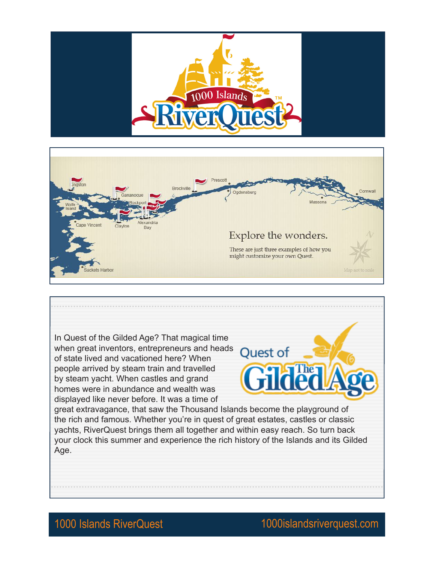





1000 Islands RiverQuest 1000islandsriverquest.com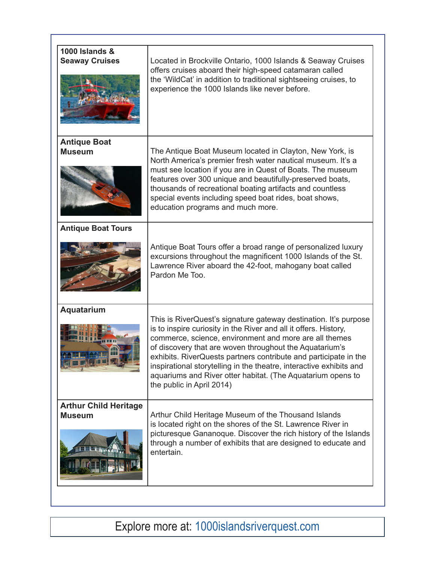| <b>1000 Islands &amp;</b><br><b>Seaway Cruises</b> | Located in Brockville Ontario, 1000 Islands & Seaway Cruises<br>offers cruises aboard their high-speed catamaran called<br>the 'WildCat' in addition to traditional sightseeing cruises, to<br>experience the 1000 Islands like never before.                                                                                                                                                                                                                                                    |
|----------------------------------------------------|--------------------------------------------------------------------------------------------------------------------------------------------------------------------------------------------------------------------------------------------------------------------------------------------------------------------------------------------------------------------------------------------------------------------------------------------------------------------------------------------------|
| <b>Antique Boat</b><br><b>Museum</b>               | The Antique Boat Museum located in Clayton, New York, is<br>North America's premier fresh water nautical museum. It's a<br>must see location if you are in Quest of Boats. The museum<br>features over 300 unique and beautifully-preserved boats,<br>thousands of recreational boating artifacts and countless<br>special events including speed boat rides, boat shows,<br>education programs and much more.                                                                                   |
| <b>Antique Boat Tours</b>                          | Antique Boat Tours offer a broad range of personalized luxury<br>excursions throughout the magnificent 1000 Islands of the St.<br>Lawrence River aboard the 42-foot, mahogany boat called<br>Pardon Me Too.                                                                                                                                                                                                                                                                                      |
| Aquatarium<br>Ⅲ Ⅲ 168 Ⅲ Ⅲ                          | This is RiverQuest's signature gateway destination. It's purpose<br>is to inspire curiosity in the River and all it offers. History,<br>commerce, science, environment and more are all themes<br>of discovery that are woven throughout the Aquatarium's<br>exhibits. RiverQuests partners contribute and participate in the<br>inspirational storytelling in the theatre, interactive exhibits and<br>aquariums and River otter habitat. (The Aquatarium opens to<br>the public in April 2014) |
| <b>Arthur Child Heritage</b><br><b>Museum</b>      | Arthur Child Heritage Museum of the Thousand Islands<br>is located right on the shores of the St. Lawrence River in<br>picturesque Gananoque. Discover the rich history of the Islands<br>through a number of exhibits that are designed to educate and<br>entertain.                                                                                                                                                                                                                            |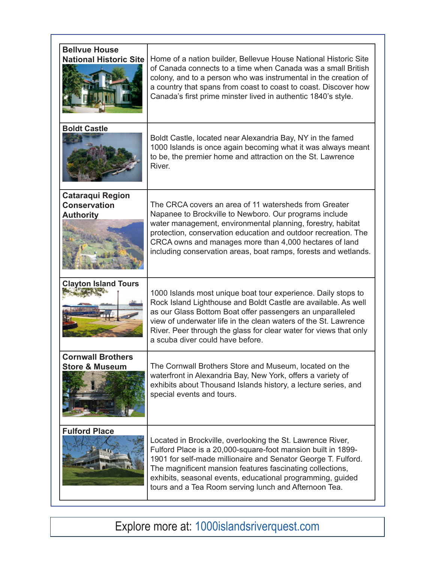| <b>Bellvue House</b><br><b>National Historic Site</b>              | Home of a nation builder, Bellevue House National Historic Site<br>of Canada connects to a time when Canada was a small British<br>colony, and to a person who was instrumental in the creation of<br>a country that spans from coast to coast to coast. Discover how<br>Canada's first prime minster lived in authentic 1840's style.                                          |
|--------------------------------------------------------------------|---------------------------------------------------------------------------------------------------------------------------------------------------------------------------------------------------------------------------------------------------------------------------------------------------------------------------------------------------------------------------------|
| <b>Boldt Castle</b>                                                | Boldt Castle, located near Alexandria Bay, NY in the famed<br>1000 Islands is once again becoming what it was always meant<br>to be, the premier home and attraction on the St. Lawrence<br>River.                                                                                                                                                                              |
| <b>Cataraqui Region</b><br><b>Conservation</b><br><b>Authority</b> | The CRCA covers an area of 11 watersheds from Greater<br>Napanee to Brockville to Newboro. Our programs include<br>water management, environmental planning, forestry, habitat<br>protection, conservation education and outdoor recreation. The<br>CRCA owns and manages more than 4,000 hectares of land<br>including conservation areas, boat ramps, forests and wetlands.   |
| <b>Clayton Island Tours</b>                                        | 1000 Islands most unique boat tour experience. Daily stops to<br>Rock Island Lighthouse and Boldt Castle are available. As well<br>as our Glass Bottom Boat offer passengers an unparalleled<br>view of underwater life in the clean waters of the St. Lawrence<br>River. Peer through the glass for clear water for views that only<br>a scuba diver could have before.        |
| <b>Cornwall Brothers</b><br><b>Store &amp; Museum</b>              | The Cornwall Brothers Store and Museum, located on the<br>waterfront in Alexandria Bay, New York, offers a variety of<br>exhibits about Thousand Islands history, a lecture series, and<br>special events and tours.                                                                                                                                                            |
| <b>Fulford Place</b>                                               | Located in Brockville, overlooking the St. Lawrence River,<br>Fulford Place is a 20,000-square-foot mansion built in 1899-<br>1901 for self-made millionaire and Senator George T. Fulford.<br>The magnificent mansion features fascinating collections,<br>exhibits, seasonal events, educational programming, guided<br>tours and a Tea Room serving lunch and Afternoon Tea. |

Explore more at: 1000islandsriverquest.com